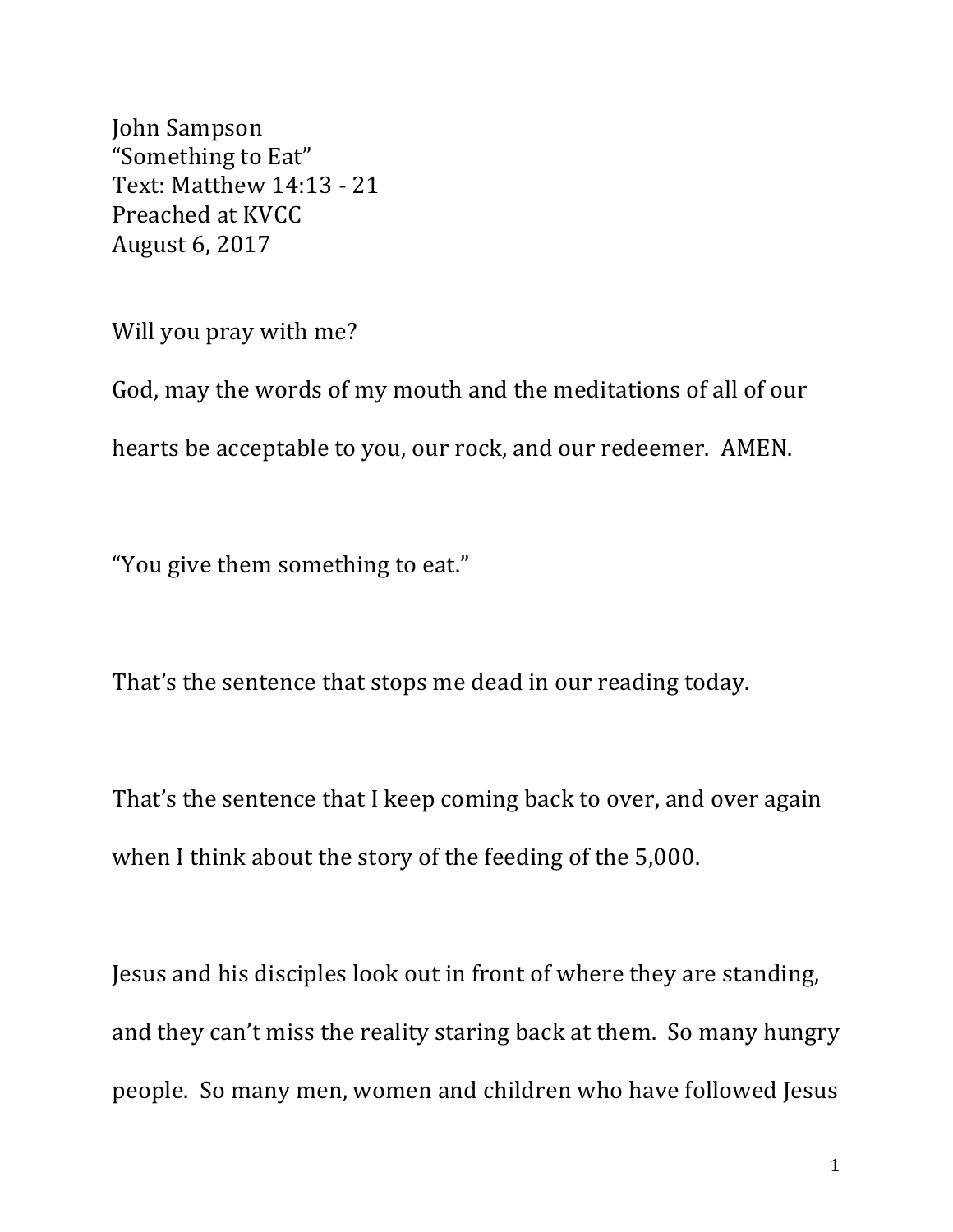John Sampson "Something to Eat" Text: Matthew 14:13 - 21 Preached at KVCC August 6, 2017

Will you pray with me?

God, may the words of my mouth and the meditations of all of our hearts be acceptable to you, our rock, and our redeemer. AMEN.

"You give them something to eat."

That's the sentence that stops me dead in our reading today.

That's the sentence that I keep coming back to over, and over again when I think about the story of the feeding of the 5,000.

Jesus and his disciples look out in front of where they are standing, and they can't miss the reality staring back at them. So many hungry people. So many men, women and children who have followed Jesus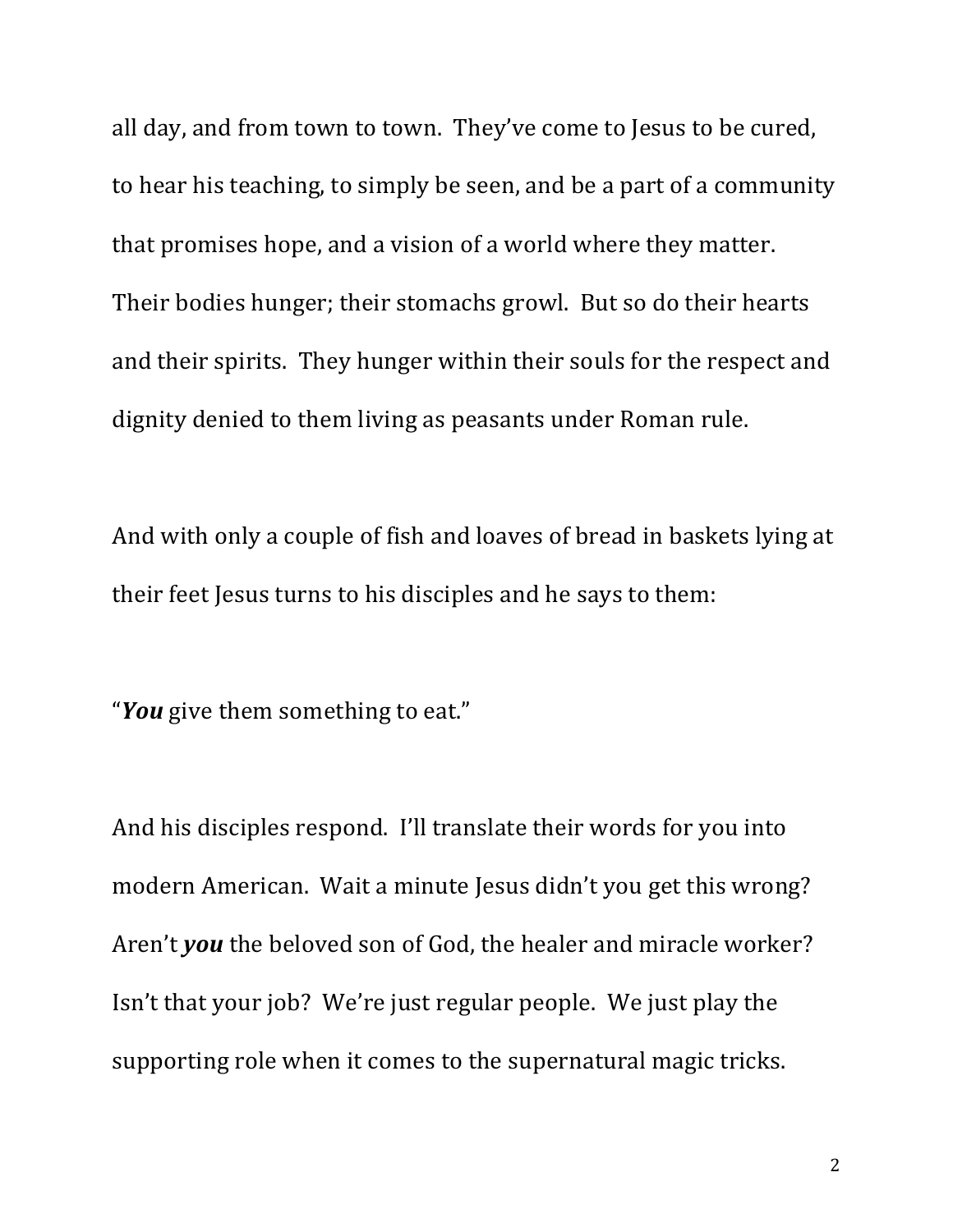all day, and from town to town. They've come to Jesus to be cured, to hear his teaching, to simply be seen, and be a part of a community that promises hope, and a vision of a world where they matter. Their bodies hunger; their stomachs growl. But so do their hearts and their spirits. They hunger within their souls for the respect and dignity denied to them living as peasants under Roman rule.

And with only a couple of fish and loaves of bread in baskets lying at their feet Jesus turns to his disciples and he says to them:

"You give them something to eat."

And his disciples respond. I'll translate their words for you into modern American. Wait a minute Jesus didn't you get this wrong? Aren't *you* the beloved son of God, the healer and miracle worker? Isn't that your job? We're just regular people. We just play the supporting role when it comes to the supernatural magic tricks.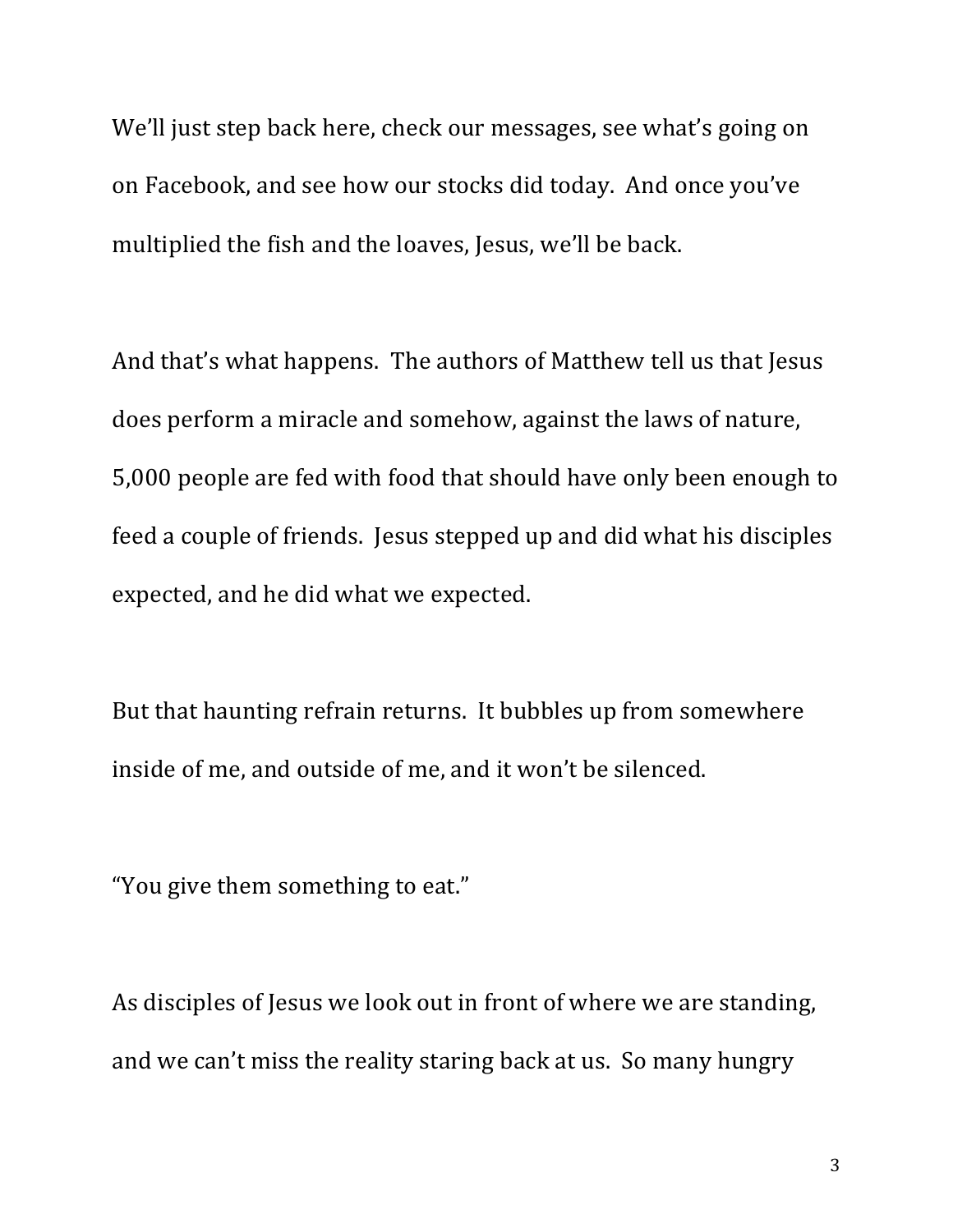We'll just step back here, check our messages, see what's going on on Facebook, and see how our stocks did today. And once you've multiplied the fish and the loaves, Jesus, we'll be back.

And that's what happens. The authors of Matthew tell us that Jesus does perform a miracle and somehow, against the laws of nature, 5,000 people are fed with food that should have only been enough to feed a couple of friends. Jesus stepped up and did what his disciples expected, and he did what we expected.

But that haunting refrain returns. It bubbles up from somewhere inside of me, and outside of me, and it won't be silenced.

"You give them something to eat."

As disciples of Jesus we look out in front of where we are standing, and we can't miss the reality staring back at us. So many hungry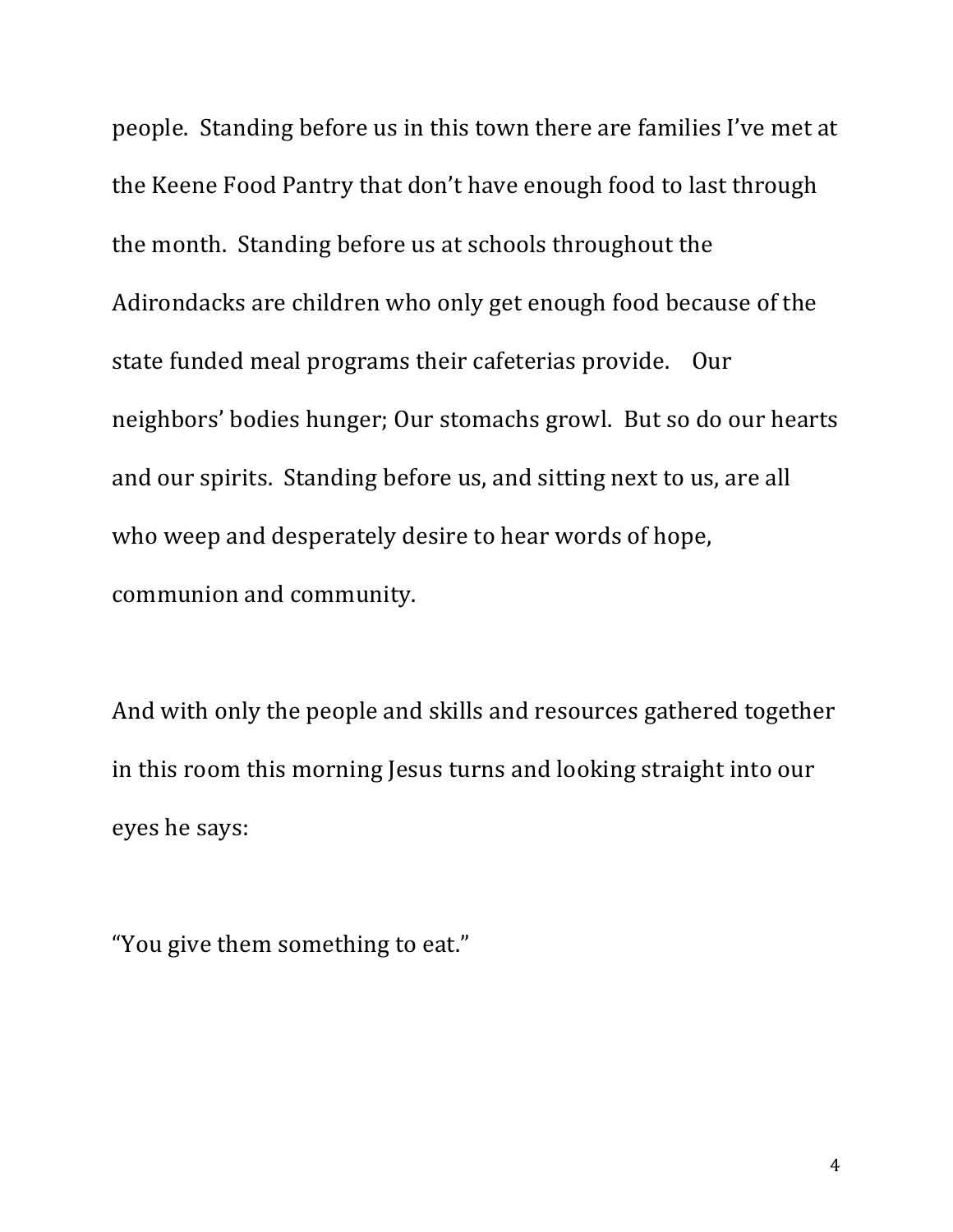people. Standing before us in this town there are families I've met at the Keene Food Pantry that don't have enough food to last through the month. Standing before us at schools throughout the Adirondacks are children who only get enough food because of the state funded meal programs their cafeterias provide. Our neighbors' bodies hunger; Our stomachs growl. But so do our hearts and our spirits. Standing before us, and sitting next to us, are all who weep and desperately desire to hear words of hope, communion and community.

And with only the people and skills and resources gathered together in this room this morning Jesus turns and looking straight into our eyes he says:

"You give them something to eat."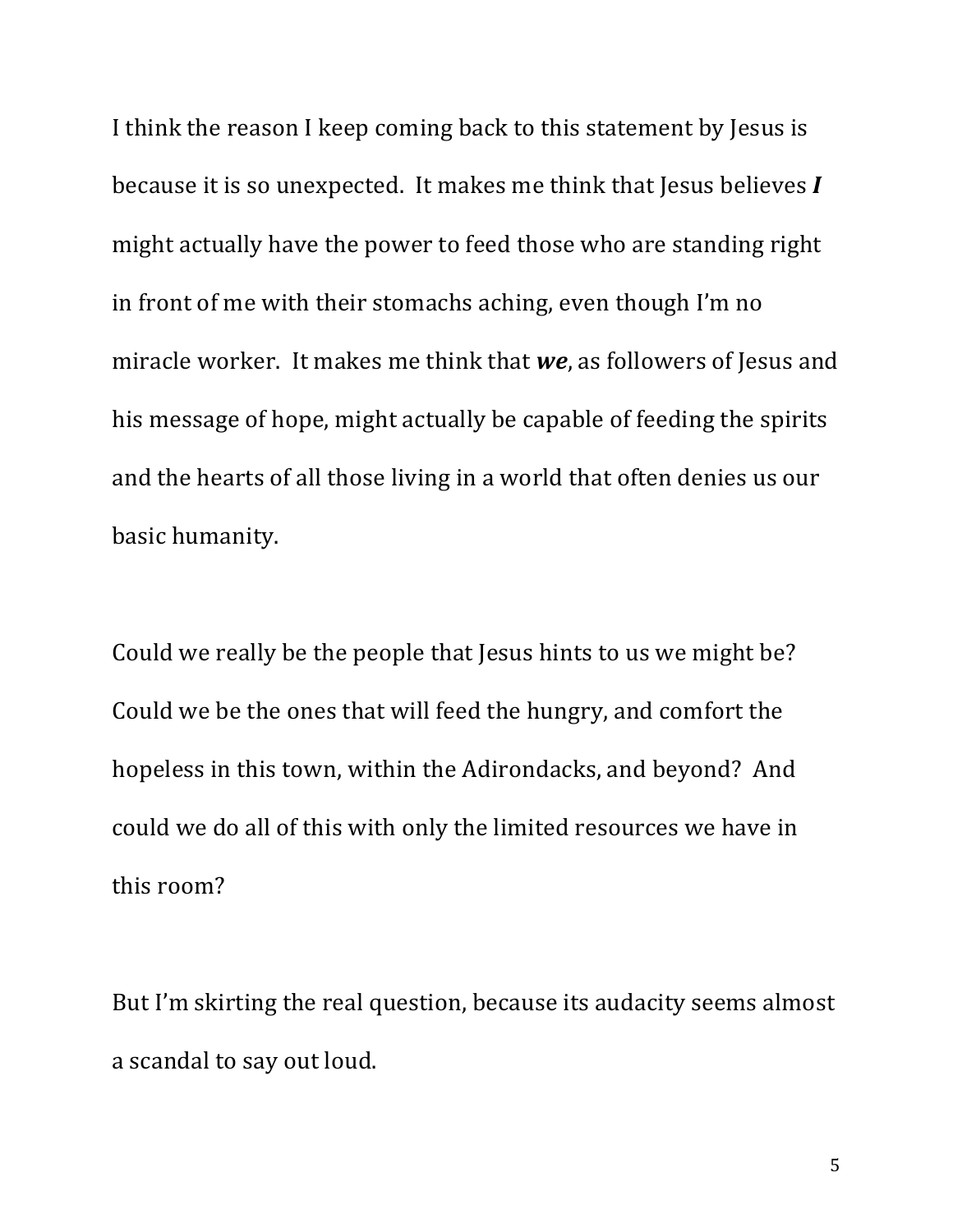I think the reason I keep coming back to this statement by Jesus is because it is so unexpected. It makes me think that Jesus believes *I* might actually have the power to feed those who are standing right in front of me with their stomachs aching, even though I'm no miracle worker. It makes me think that we, as followers of Jesus and his message of hope, might actually be capable of feeding the spirits and the hearts of all those living in a world that often denies us our basic humanity.

Could we really be the people that Jesus hints to us we might be? Could we be the ones that will feed the hungry, and comfort the hopeless in this town, within the Adirondacks, and beyond? And could we do all of this with only the limited resources we have in this room?

But I'm skirting the real question, because its audacity seems almost a scandal to say out loud.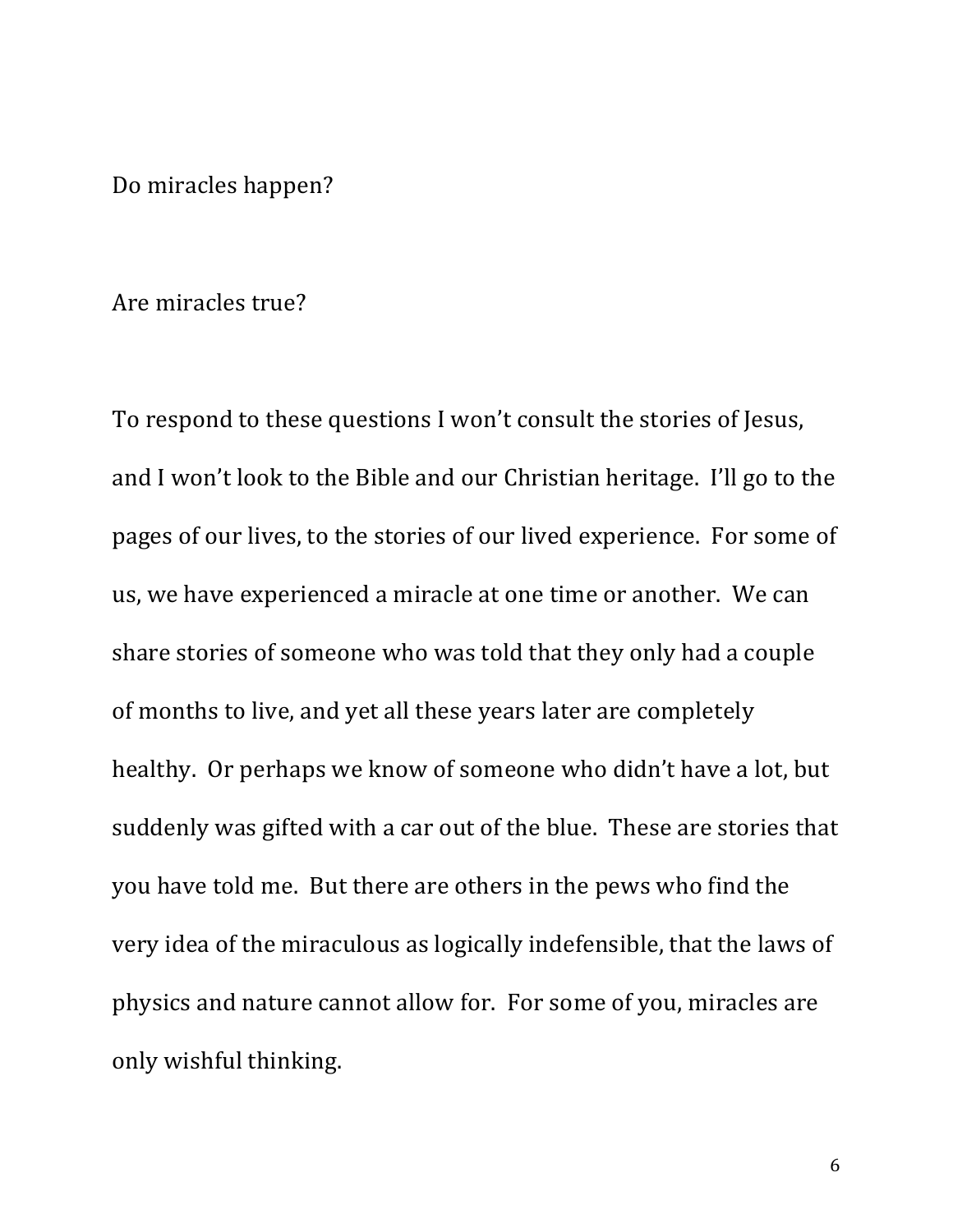Do miracles happen?

## Are miracles true?

To respond to these questions I won't consult the stories of Jesus, and I won't look to the Bible and our Christian heritage. I'll go to the pages of our lives, to the stories of our lived experience. For some of us, we have experienced a miracle at one time or another. We can share stories of someone who was told that they only had a couple of months to live, and yet all these years later are completely healthy. Or perhaps we know of someone who didn't have a lot, but suddenly was gifted with a car out of the blue. These are stories that you have told me. But there are others in the pews who find the very idea of the miraculous as logically indefensible, that the laws of physics and nature cannot allow for. For some of you, miracles are only wishful thinking.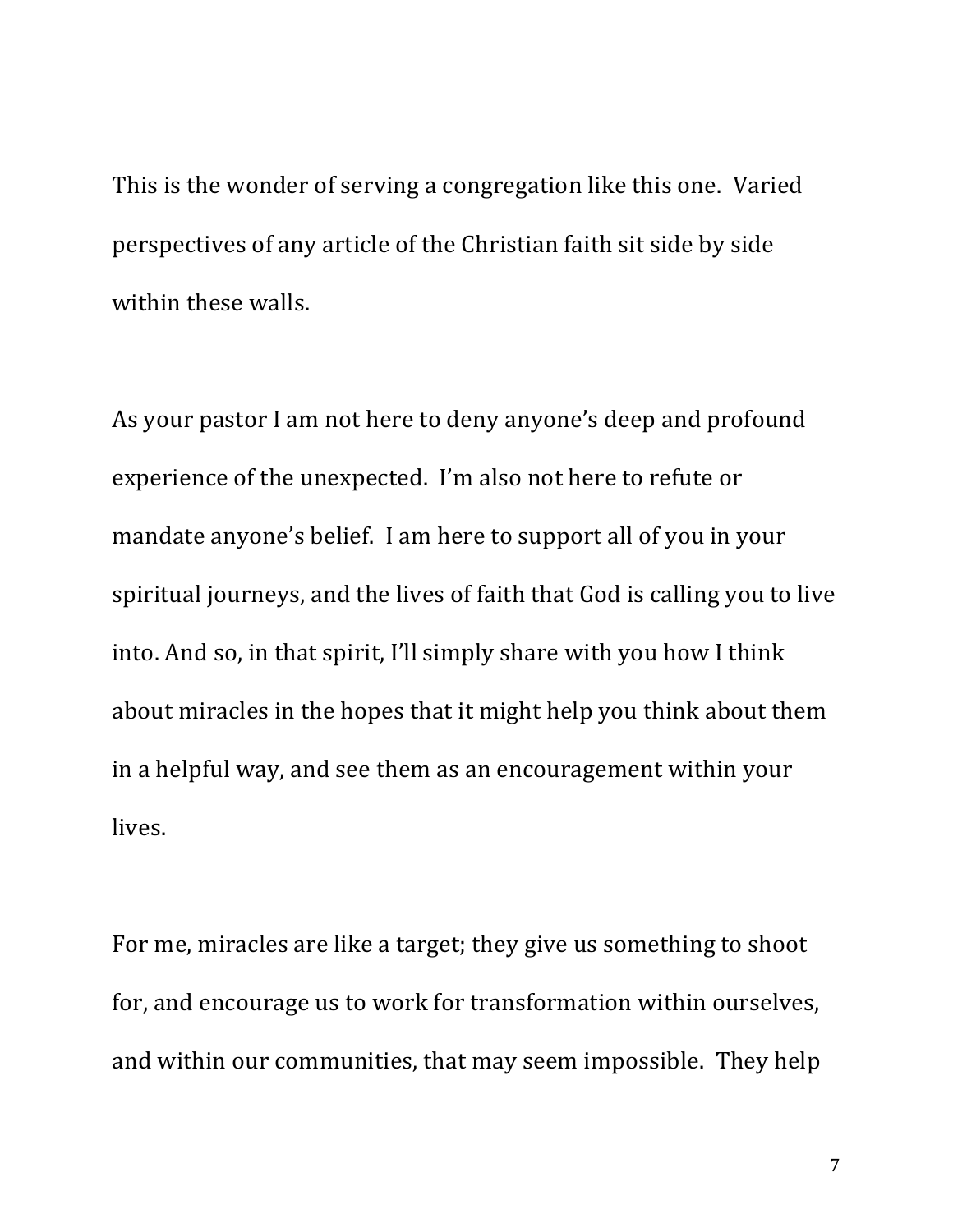This is the wonder of serving a congregation like this one. Varied perspectives of any article of the Christian faith sit side by side within these walls.

As your pastor I am not here to deny anyone's deep and profound experience of the unexpected. I'm also not here to refute or mandate anyone's belief. I am here to support all of you in your spiritual journeys, and the lives of faith that God is calling you to live into. And so, in that spirit, I'll simply share with you how I think about miracles in the hopes that it might help you think about them in a helpful way, and see them as an encouragement within your lives.

For me, miracles are like a target; they give us something to shoot for, and encourage us to work for transformation within ourselves, and within our communities, that may seem impossible. They help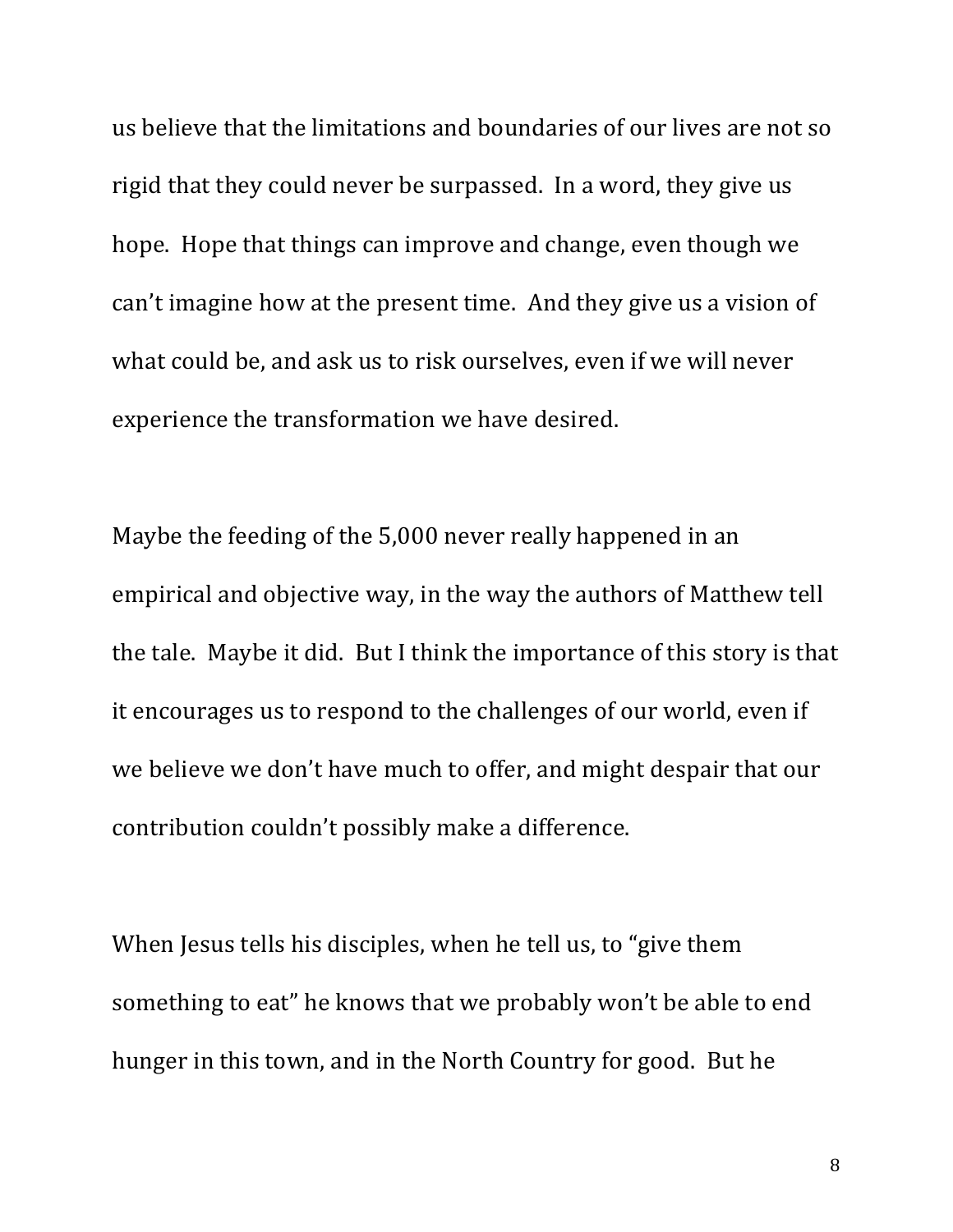us believe that the limitations and boundaries of our lives are not so rigid that they could never be surpassed. In a word, they give us hope. Hope that things can improve and change, even though we can't imagine how at the present time. And they give us a vision of what could be, and ask us to risk ourselves, even if we will never experience the transformation we have desired.

Maybe the feeding of the 5,000 never really happened in an empirical and objective way, in the way the authors of Matthew tell the tale. Maybe it did. But I think the importance of this story is that it encourages us to respond to the challenges of our world, even if we believe we don't have much to offer, and might despair that our contribution couldn't possibly make a difference.

When Jesus tells his disciples, when he tell us, to "give them something to eat" he knows that we probably won't be able to end hunger in this town, and in the North Country for good. But he